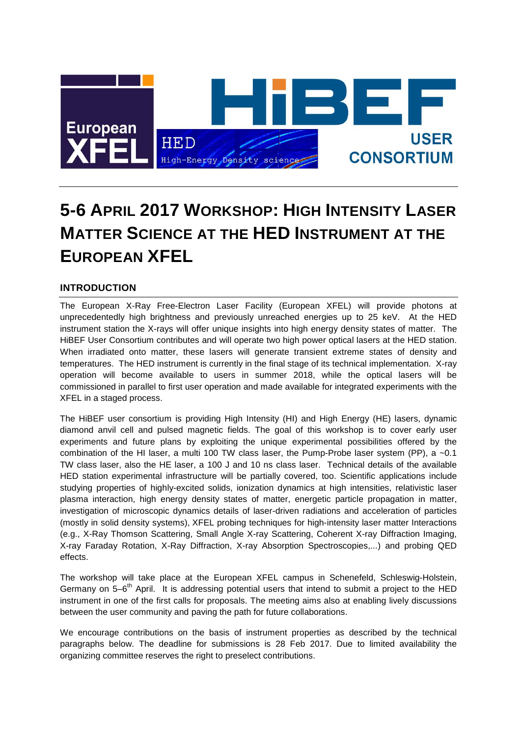

# **5-6 APRIL 2017 WORKSHOP: HIGH INTENSITY LASER MATTER SCIENCE AT THE HED INSTRUMENT AT THE EUROPEAN XFEL**

### **INTRODUCTION**

The European X-Ray Free-Electron Laser Facility (European XFEL) will provide photons at unprecedentedly high brightness and previously unreached energies up to 25 keV. At the HED instrument station the X-rays will offer unique insights into high energy density states of matter. The HiBEF User Consortium contributes and will operate two high power optical lasers at the HED station. When irradiated onto matter, these lasers will generate transient extreme states of density and temperatures. The HED instrument is currently in the final stage of its technical implementation. X-ray operation will become available to users in summer 2018, while the optical lasers will be commissioned in parallel to first user operation and made available for integrated experiments with the XFEL in a staged process.

The HiBEF user consortium is providing High Intensity (HI) and High Energy (HE) lasers, dynamic diamond anvil cell and pulsed magnetic fields. The goal of this workshop is to cover early user experiments and future plans by exploiting the unique experimental possibilities offered by the combination of the HI laser, a multi 100 TW class laser, the Pump-Probe laser system (PP), a ~0.1 TW class laser, also the HE laser, a 100 J and 10 ns class laser. Technical details of the available HED station experimental infrastructure will be partially covered, too. Scientific applications include studying properties of highly-excited solids, ionization dynamics at high intensities, relativistic laser plasma interaction, high energy density states of matter, energetic particle propagation in matter, investigation of microscopic dynamics details of laser-driven radiations and acceleration of particles (mostly in solid density systems), XFEL probing techniques for high-intensity laser matter Interactions (e.g., X-Ray Thomson Scattering, Small Angle X-ray Scattering, Coherent X-ray Diffraction Imaging, X-ray Faraday Rotation, X-Ray Diffraction, X-ray Absorption Spectroscopies,...) and probing QED effects.

The workshop will take place at the European XFEL campus in Schenefeld, Schleswig-Holstein, Germany on  $5-6$ <sup>th</sup> April. It is addressing potential users that intend to submit a project to the HED instrument in one of the first calls for proposals. The meeting aims also at enabling lively discussions between the user community and paving the path for future collaborations.

We encourage contributions on the basis of instrument properties as described by the technical paragraphs below. The deadline for submissions is 28 Feb 2017. Due to limited availability the organizing committee reserves the right to preselect contributions.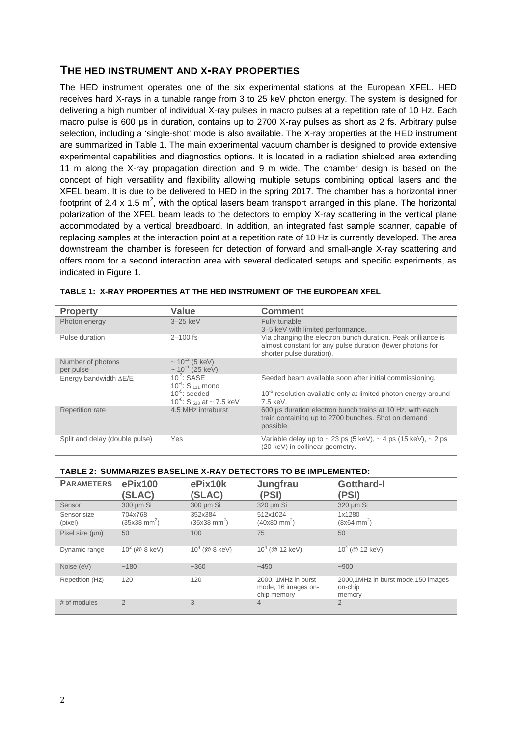### **THE HED INSTRUMENT AND X-RAY PROPERTIES**

The HED instrument operates one of the six experimental stations at the European XFEL. HED receives hard X-rays in a tunable range from 3 to 25 keV photon energy. The system is designed for delivering a high number of individual X-ray pulses in macro pulses at a repetition rate of 10 Hz. Each macro pulse is 600 us in duration, contains up to 2700 X-ray pulses as short as 2 fs. Arbitrary pulse selection, including a 'single-shot' mode is also available. The X-ray properties at the HED instrument are summarized in Table 1. The main experimental vacuum chamber is designed to provide extensive experimental capabilities and diagnostics options. It is located in a radiation shielded area extending 11 m along the X-ray propagation direction and 9 m wide. The chamber design is based on the concept of high versatility and flexibility allowing multiple setups combining optical lasers and the XFEL beam. It is due to be delivered to HED in the spring 2017. The chamber has a horizontal inner footprint of 2.4 x 1.5 m<sup>2</sup>, with the optical lasers beam transport arranged in this plane. The horizontal polarization of the XFEL beam leads to the detectors to employ X-ray scattering in the vertical plane accommodated by a vertical breadboard. In addition, an integrated fast sample scanner, capable of replacing samples at the interaction point at a repetition rate of 10 Hz is currently developed. The area downstream the chamber is foreseen for detection of forward and small-angle X-ray scattering and offers room for a second interaction area with several dedicated setups and specific experiments, as indicated in Figure 1.

| <b>Property</b>                | Value                                                                                                                             | <b>Comment</b>                                                                                                                                        |
|--------------------------------|-----------------------------------------------------------------------------------------------------------------------------------|-------------------------------------------------------------------------------------------------------------------------------------------------------|
| Photon energy                  | $3-25$ keV                                                                                                                        | Fully tunable.<br>3-5 keV with limited performance.                                                                                                   |
| Pulse duration                 | $2 - 100$ fs                                                                                                                      | Via changing the electron bunch duration. Peak brilliance is<br>almost constant for any pulse duration (fewer photons for<br>shorter pulse duration). |
| Number of photons<br>per pulse | $\sim 10^{12}$ (5 keV)<br>$\sim 10^{11}$ (25 keV)                                                                                 |                                                                                                                                                       |
| Energy bandwidth $\Delta E/E$  | $10^{-3}$ : SASE<br>$10^{-4}$ : Si <sub>111</sub> mono<br>$10^{-5}$ : seeded<br>10 <sup>-6</sup> : Si <sub>533</sub> at ~ 7.5 keV | Seeded beam available soon after initial commissioning.<br>10 <sup>-6</sup> resolution available only at limited photon energy around<br>7.5 keV.     |
| <b>Repetition rate</b>         | 4.5 MHz intraburst                                                                                                                | 600 µs duration electron bunch trains at 10 Hz, with each<br>train containing up to 2700 bunches. Shot on demand<br>possible.                         |
| Split and delay (double pulse) | Yes                                                                                                                               | Variable delay up to $\sim$ 23 ps (5 keV), $\sim$ 4 ps (15 keV), $\sim$ 2 ps<br>(20 keV) in collinear geometry.                                       |

|  |  | TABLE 1: X-RAY PROPERTIES AT THE HED INSTRUMENT OF THE EUROPEAN XFEL |  |  |
|--|--|----------------------------------------------------------------------|--|--|
|  |  |                                                                      |  |  |

#### **TABLE 2: SUMMARIZES BASELINE X-RAY DETECTORS TO BE IMPLEMENTED:**

| <b>PARAMETERS</b>      | ePix100<br>(SLAC)                     | ePix10k<br>(SLAC)                     | Jungfrau<br>(PSI)                                         | Gotthard-I<br>(PSI)                                     |
|------------------------|---------------------------------------|---------------------------------------|-----------------------------------------------------------|---------------------------------------------------------|
| Sensor                 | 300 µm Si                             | 300 µm Si                             | 320 um Si                                                 | 320 um Si                                               |
| Sensor size<br>(pixel) | 704x768<br>$(35x38$ mm <sup>2</sup> ) | 352x384<br>$(35x38$ mm <sup>2</sup> ) | 512x1024<br>$(40x80$ mm <sup>2</sup> )                    | 1x1280<br>$(8x64$ mm <sup>2</sup> )                     |
| Pixel size (um)        | 50                                    | 100                                   | 75                                                        | 50                                                      |
| Dynamic range          | $10^2$ (@ 8 keV)                      | $10^4$ (@ 8 keV)                      | $10^4$ (@ 12 keV)                                         | $10^4$ ( $\circledcirc$ 12 keV)                         |
| Noise (eV)             | ~180                                  | $~1 - 360$                            | $-450$                                                    | $-900$                                                  |
| Repetition (Hz)        | 120                                   | 120                                   | 2000, 1MHz in burst<br>mode, 16 images on-<br>chip memory | 2000,1MHz in burst mode,150 images<br>on-chip<br>memory |
| # of modules           | $\overline{2}$                        | 3                                     | $\overline{4}$                                            | $\overline{2}$                                          |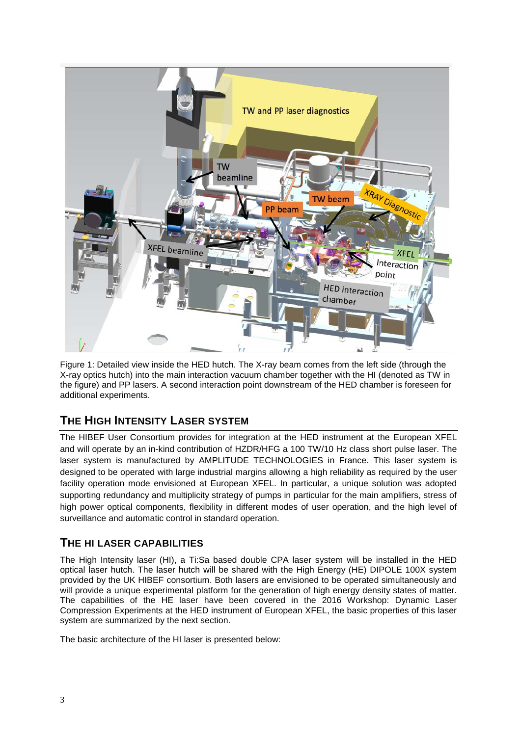

Figure 1: Detailed view inside the HED hutch. The X-ray beam comes from the left side (through the X-ray optics hutch) into the main interaction vacuum chamber together with the HI (denoted as TW in the figure) and PP lasers. A second interaction point downstream of the HED chamber is foreseen for additional experiments.

# **THE HIGH INTENSITY LASER SYSTEM**

The HIBEF User Consortium provides for integration at the HED instrument at the European XFEL and will operate by an in-kind contribution of HZDR/HFG a 100 TW/10 Hz class short pulse laser. The laser system is manufactured by AMPLITUDE TECHNOLOGIES in France. This laser system is designed to be operated with large industrial margins allowing a high reliability as required by the user facility operation mode envisioned at European XFEL. In particular, a unique solution was adopted supporting redundancy and multiplicity strategy of pumps in particular for the main amplifiers, stress of high power optical components, flexibility in different modes of user operation, and the high level of surveillance and automatic control in standard operation.

# **THE HI LASER CAPABILITIES**

The High Intensity laser (HI), a Ti:Sa based double CPA laser system will be installed in the HED optical laser hutch. The laser hutch will be shared with the High Energy (HE) DIPOLE 100X system provided by the UK HIBEF consortium. Both lasers are envisioned to be operated simultaneously and will provide a unique experimental platform for the generation of high energy density states of matter. The capabilities of the HE laser have been covered in the 2016 Workshop: Dynamic Laser Compression Experiments at the HED instrument of European XFEL, the basic properties of this laser system are summarized by the next section.

The basic architecture of the HI laser is presented below: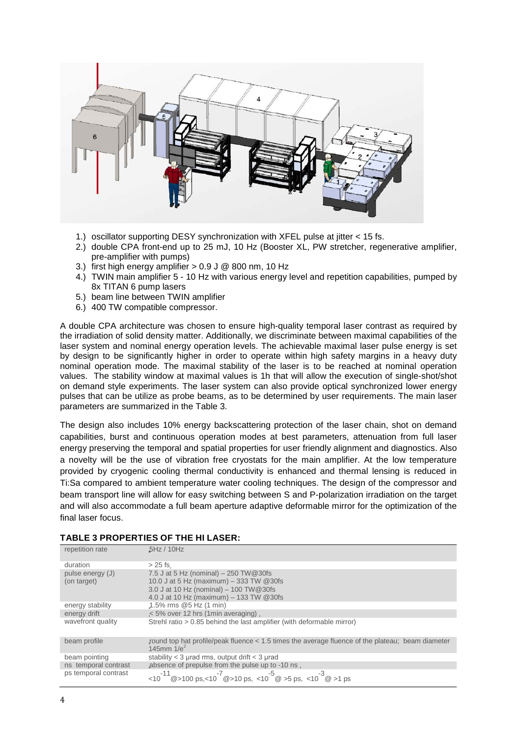

- 1.) oscillator supporting DESY synchronization with XFEL pulse at jitter < 15 fs.
- 2.) double CPA front-end up to 25 mJ, 10 Hz (Booster XL, PW stretcher, regenerative amplifier, pre-amplifier with pumps)
- 3.) first high energy amplifier  $> 0.9$  J @ 800 nm, 10 Hz
- 4.) TWIN main amplifier 5 10 Hz with various energy level and repetition capabilities, pumped by 8x TITAN 6 pump lasers
- 5.) beam line between TWIN amplifier
- 6.) 400 TW compatible compressor.

A double CPA architecture was chosen to ensure high-quality temporal laser contrast as required by the irradiation of solid density matter. Additionally, we discriminate between maximal capabilities of the laser system and nominal energy operation levels. The achievable maximal laser pulse energy is set by design to be significantly higher in order to operate within high safety margins in a heavy duty nominal operation mode. The maximal stability of the laser is to be reached at nominal operation values. The stability window at maximal values is 1h that will allow the execution of single-shot/shot on demand style experiments. The laser system can also provide optical synchronized lower energy pulses that can be utilize as probe beams, as to be determined by user requirements. The main laser parameters are summarized in the Table 3.

The design also includes 10% energy backscattering protection of the laser chain, shot on demand capabilities, burst and continuous operation modes at best parameters, attenuation from full laser energy preserving the temporal and spatial properties for user friendly alignment and diagnostics. Also a novelty will be the use of vibration free cryostats for the main amplifier. At the low temperature provided by cryogenic cooling thermal conductivity is enhanced and thermal lensing is reduced in Ti:Sa compared to ambient temperature water cooling techniques. The design of the compressor and beam transport line will allow for easy switching between S and P-polarization irradiation on the target and will also accommodate a full beam aperture adaptive deformable mirror for the optimization of the final laser focus.

| repetition rate                 | 5Hz/10Hz                                                                                                                                                                     |
|---------------------------------|------------------------------------------------------------------------------------------------------------------------------------------------------------------------------|
| duration                        | $>25$ fs.                                                                                                                                                                    |
| pulse energy (J)<br>(on target) | 7.5 J at 5 Hz (nominal) $-250$ TW @ 30fs<br>10.0 J at 5 Hz (maximum) $-$ 333 TW @30fs<br>3.0 J at 10 Hz (nominal) $-$ 100 TW@30fs<br>4.0 J at 10 Hz (maximum) - 133 TW @30fs |
| energy stability                | 1.5% rms $@5$ Hz (1 min)                                                                                                                                                     |
| energy drift                    | $\le$ 5% over 12 hrs (1 min averaging).                                                                                                                                      |
| wavefront quality               | Strehl ratio > 0.85 behind the last amplifier (with deformable mirror)                                                                                                       |
| beam profile                    | round top hat profile/peak fluence < 1.5 times the average fluence of the plateau; beam diameter<br>145mm $1/e^2$                                                            |
| beam pointing                   | stability $<$ 3 µrad rms, output drift $<$ 3 µrad                                                                                                                            |
| ns temporal contrast            | absence of prepulse from the pulse up to -10 ns.                                                                                                                             |
| ps temporal contrast            | -11 <sup>-1</sup> @ >100 ps, <10 <sup>-7</sup> @ >10 ps, <10 <sup>-5</sup> @ >5 ps, <10 <sup>-3</sup> @ >1 ps                                                                |

#### **TABLE 3 PROPERTIES OF THE HI LASER:**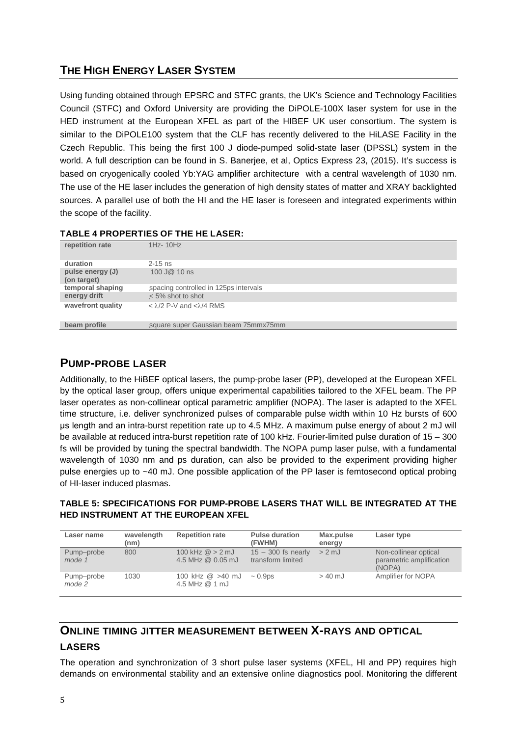# **THE HIGH ENERGY LASER SYSTEM**

Using funding obtained through EPSRC and STFC grants, the UK's Science and Technology Facilities Council (STFC) and Oxford University are providing the DiPOLE-100X laser system for use in the HED instrument at the European XFEL as part of the HIBEF UK user consortium. The system is similar to the DiPOLE100 system that the CLF has recently delivered to the HiLASE Facility in the Czech Republic. This being the first 100 J diode-pumped solid-state laser (DPSSL) system in the world. A full description can be found in S. Banerjee, et al, Optics Express 23, (2015). It's success is based on cryogenically cooled Yb:YAG amplifier architecture with a central wavelength of 1030 nm. The use of the HE laser includes the generation of high density states of matter and XRAY backlighted sources. A parallel use of both the HI and the HE laser is foreseen and integrated experiments within the scope of the facility.

| repetition rate                 | $1Hz - 10Hz$                            |
|---------------------------------|-----------------------------------------|
| duration                        | $2 - 15$ ns                             |
| pulse energy (J)<br>(on target) | 100 J@ 10 ns                            |
| temporal shaping                | spacing controlled in 125ps intervals   |
| energy drift                    | $< 5\%$ shot to shot                    |
| wavefront quality               | $< \lambda/2$ P-V and $< \lambda/4$ RMS |
| beam profile                    | square super Gaussian beam 75mmx75mm    |

### **TABLE 4 PROPERTIES OF THE HE LASER:**

### **PUMP-PROBE LASER**

Additionally, to the HiBEF optical lasers, the pump-probe laser (PP), developed at the European XFEL by the optical laser group, offers unique experimental capabilities tailored to the XFEL beam. The PP laser operates as non-collinear optical parametric amplifier (NOPA). The laser is adapted to the XFEL time structure, i.e. deliver synchronized pulses of comparable pulse width within 10 Hz bursts of 600 μs length and an intra-burst repetition rate up to 4.5 MHz. A maximum pulse energy of about 2 mJ will be available at reduced intra-burst repetition rate of 100 kHz. Fourier-limited pulse duration of 15 – 300 fs will be provided by tuning the spectral bandwidth. The NOPA pump laser pulse, with a fundamental wavelength of 1030 nm and ps duration, can also be provided to the experiment providing higher pulse energies up to ~40 mJ. One possible application of the PP laser is femtosecond optical probing of HI-laser induced plasmas.

### **TABLE 5: SPECIFICATIONS FOR PUMP-PROBE LASERS THAT WILL BE INTEGRATED AT THE HED INSTRUMENT AT THE EUROPEAN XFEL**

| Laser name           | wavelength<br>(nm) | <b>Repetition rate</b>                  | <b>Pulse duration</b><br>(FWHM)           | Max.pulse<br>energy | Laser type                                                  |
|----------------------|--------------------|-----------------------------------------|-------------------------------------------|---------------------|-------------------------------------------------------------|
| Pump-probe<br>mode 1 | 800                | 100 kHz $@ > 2$ mJ<br>4.5 MHz @ 0.05 mJ | $15 - 300$ fs nearly<br>transform limited | $> 2$ mJ            | Non-collinear optical<br>parametric amplification<br>(NOPA) |
| Pump-probe<br>mode 2 | 1030               | 100 kHz @ >40 mJ<br>4.5 MHz @ 1 mJ      | $\sim 0.9$ ps                             | $> 40$ mJ           | Amplifier for NOPA                                          |

## **ONLINE TIMING JITTER MEASUREMENT BETWEEN X-RAYS AND OPTICAL LASERS**

The operation and synchronization of 3 short pulse laser systems (XFEL, HI and PP) requires high demands on environmental stability and an extensive online diagnostics pool. Monitoring the different